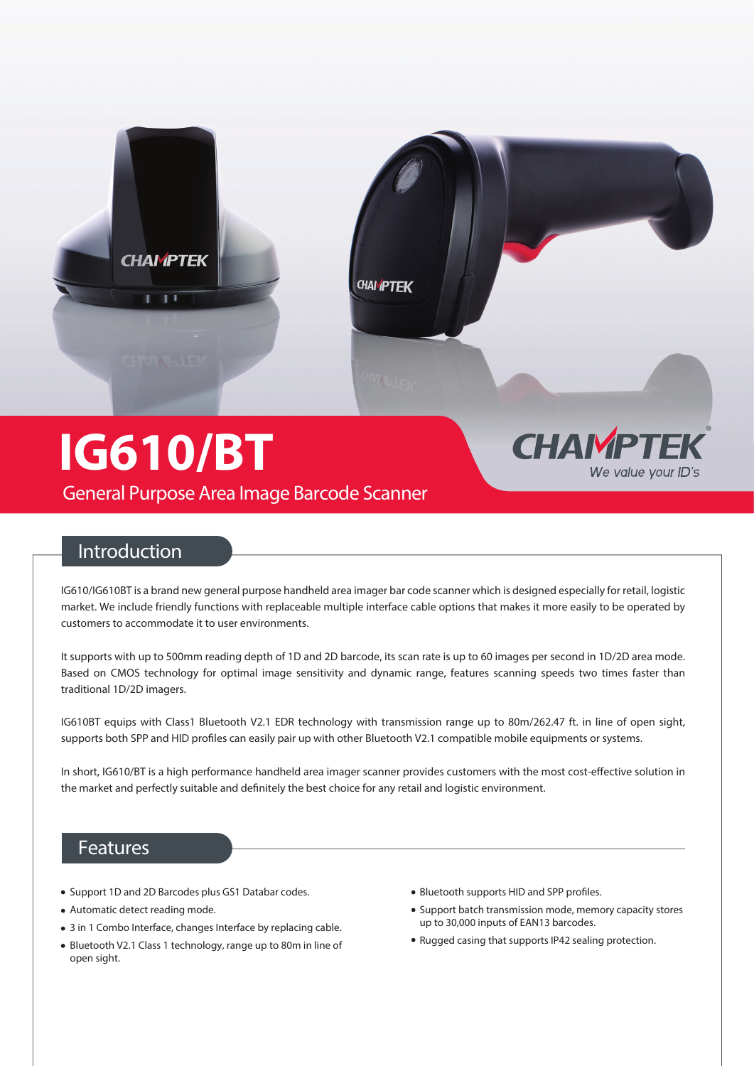

## **Introduction**

**General Purpose Area Image Barcode Scanner**

IG610/IG610BT is a brand new general purpose handheld area imager bar code scanner which is designed especially for retail, logistic market. We include friendly functions with replaceable multiple interface cable options that makes it more easily to be operated by customers to accommodate it to user environments.

It supports with up to 500mm reading depth of 1D and 2D barcode, its scan rate is up to 60 images per second in 1D/2D area mode. Based on CMOS technology for optimal image sensitivity and dynamic range, features scanning speeds two times faster than traditional 1D/2D imagers.

IG610BT equips with Class1 Bluetooth V2.1 EDR technology with transmission range up to 80m/262.47 ft. in line of open sight, supports both SPP and HID profiles can easily pair up with other Bluetooth V2.1 compatible mobile equipments or systems.

In short, IG610/BT is a high performance handheld area imager scanner provides customers with the most cost-effective solution in the market and perfectly suitable and definitely the best choice for any retail and logistic environment.

### **Features**

- Support 1D and 2D Barcodes plus GS1 Databar codes.
- Automatic detect reading mode.
- 3 in 1 Combo Interface, changes Interface by replacing cable.
- Bluetooth V2.1 Class 1 technology, range up to 80m in line of open sight.
- Bluetooth supports HID and SPP profiles.
- Support batch transmission mode, memory capacity stores up to 30,000 inputs of EAN13 barcodes.
- Rugged casing that supports IP42 sealing protection.